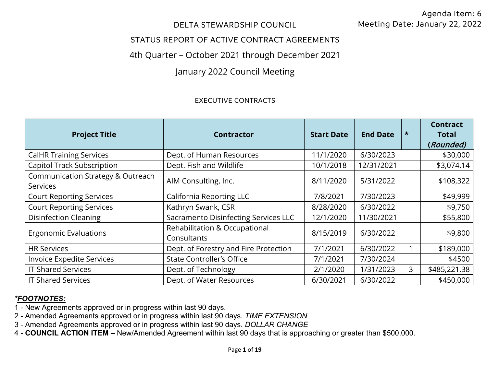### DELTA STEWARDSHIP COUNCIL

## STATUS REPORT OF ACTIVE CONTRACT AGREEMENTS

# 4th Quarter – October 2021 through December 2021

# January 2022 Council Meeting

#### EXECUTIVE CONTRACTS

| <b>Project Title</b>                          | <b>Contractor</b>                            | <b>Start Date</b> | <b>End Date</b> | $\star$ | <b>Contract</b><br><b>Total</b><br>(Rounded) |
|-----------------------------------------------|----------------------------------------------|-------------------|-----------------|---------|----------------------------------------------|
| <b>CalHR Training Services</b>                | Dept. of Human Resources                     | 11/1/2020         | 6/30/2023       |         | \$30,000                                     |
| <b>Capitol Track Subscription</b>             | Dept. Fish and Wildlife                      | 10/1/2018         | 12/31/2021      |         | \$3,074.14                                   |
| Communication Strategy & Outreach<br>Services | AIM Consulting, Inc.                         | 8/11/2020         | 5/31/2022       |         | \$108,322                                    |
| <b>Court Reporting Services</b>               | <b>California Reporting LLC</b>              | 7/8/2021          | 7/30/2023       |         | \$49,999                                     |
| <b>Court Reporting Services</b>               | Kathryn Swank, CSR                           | 8/28/2020         | 6/30/2022       |         | \$9,750                                      |
| <b>Disinfection Cleaning</b>                  | Sacramento Disinfecting Services LLC         | 12/1/2020         | 11/30/2021      |         | \$55,800                                     |
| <b>Ergonomic Evaluations</b>                  | Rehabilitation & Occupational<br>Consultants | 8/15/2019         | 6/30/2022       |         | \$9,800                                      |
| <b>HR Services</b>                            | Dept. of Forestry and Fire Protection        | 7/1/2021          | 6/30/2022       |         | \$189,000                                    |
| Invoice Expedite Services                     | <b>State Controller's Office</b>             | 7/1/2021          | 7/30/2024       |         | \$4500                                       |
| <b>IT-Shared Services</b>                     | Dept. of Technology                          | 2/1/2020          | 1/31/2023       | 3       | \$485,221.38                                 |
| <b>IT Shared Services</b>                     | Dept. of Water Resources                     | 6/30/2021         | 6/30/2022       |         | \$450,000                                    |

- 1 New Agreements approved or in progress within last 90 days.
- 2 Amended Agreements approved or in progress within last 90 days. *TIME EXTENSION*
- 3 Amended Agreements approved or in progress within last 90 days. *DOLLAR CHANGE*
- 4 **COUNCIL ACTION ITEM** New/Amended Agreement within last 90 days that is approaching or greater than \$500,000.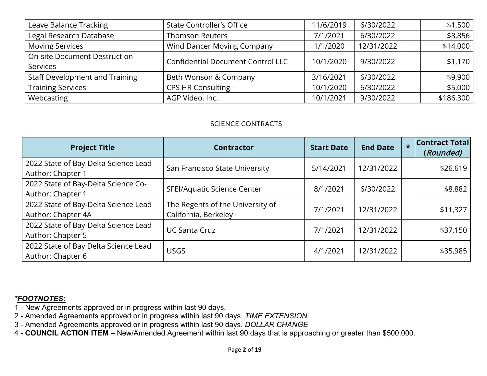| Leave Balance Tracking                | <b>State Controller's Office</b>         | 11/6/2019 | 6/30/2022  | \$1,500   |
|---------------------------------------|------------------------------------------|-----------|------------|-----------|
| Legal Research Database               | <b>Thomson Reuters</b>                   | 7/1/2021  | 6/30/2022  | \$8,856   |
| <b>Moving Services</b>                | Wind Dancer Moving Company               | 1/1/2020  | 12/31/2022 | \$14,000  |
| <b>On-site Document Destruction</b>   | <b>Confidential Document Control LLC</b> | 10/1/2020 | 9/30/2022  | \$1,170   |
| <b>Services</b>                       |                                          |           |            |           |
| <b>Staff Development and Training</b> | Beth Wonson & Company                    | 3/16/2021 | 6/30/2022  | \$9,900   |
| <b>Training Services</b>              | <b>CPS HR Consulting</b>                 | 10/1/2020 | 6/30/2022  | \$5,000   |
| Webcasting                            | AGP Video, Inc.                          | 10/1/2021 | 9/30/2022  | \$186,300 |

#### SCIENCE CONTRACTS

| <b>Project Title</b>                                       | <b>Contractor</b>                                        | <b>Start Date</b> | <b>End Date</b> | $\star$ | <b>Contract Total</b><br>(Rounded) |
|------------------------------------------------------------|----------------------------------------------------------|-------------------|-----------------|---------|------------------------------------|
| 2022 State of Bay-Delta Science Lead<br>Author: Chapter 1  | San Francisco State University                           | 5/14/2021         | 12/31/2022      |         | \$26,619                           |
| 2022 State of Bay-Delta Science Co-<br>Author: Chapter 1   | SFEI/Aquatic Science Center                              | 8/1/2021          | 6/30/2022       |         | \$8,882                            |
| 2022 State of Bay-Delta Science Lead<br>Author: Chapter 4A | The Regents of the University of<br>California, Berkeley | 7/1/2021          | 12/31/2022      |         | \$11,327                           |
| 2022 State of Bay-Delta Science Lead<br>Author: Chapter 5  | <b>UC Santa Cruz</b>                                     | 7/1/2021          | 12/31/2022      |         | \$37,150                           |
| 2022 State of Bay Delta Science Lead<br>Author: Chapter 6  | <b>USGS</b>                                              | 4/1/2021          | 12/31/2022      |         | \$35,985                           |

- 1 New Agreements approved or in progress within last 90 days.
- 2 Amended Agreements approved or in progress within last 90 days. *TIME EXTENSION*
- 3 Amended Agreements approved or in progress within last 90 days. *DOLLAR CHANGE*
- 4 **COUNCIL ACTION ITEM** New/Amended Agreement within last 90 days that is approaching or greater than \$500,000.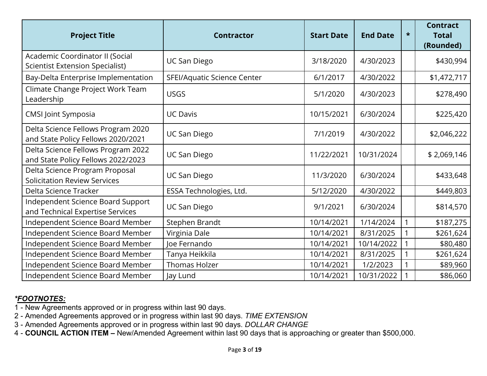| <b>Project Title</b>                                                      | <b>Contractor</b>           | <b>Start Date</b> | <b>End Date</b> | $\star$ | <b>Contract</b><br><b>Total</b><br>(Rounded) |
|---------------------------------------------------------------------------|-----------------------------|-------------------|-----------------|---------|----------------------------------------------|
| Academic Coordinator II (Social<br><b>Scientist Extension Specialist)</b> | <b>UC San Diego</b>         | 3/18/2020         | 4/30/2023       |         | \$430,994                                    |
| Bay-Delta Enterprise Implementation                                       | SFEI/Aquatic Science Center | 6/1/2017          | 4/30/2022       |         | \$1,472,717                                  |
| Climate Change Project Work Team<br>Leadership                            | <b>USGS</b>                 | 5/1/2020          | 4/30/2023       |         | \$278,490                                    |
| <b>CMSI Joint Symposia</b>                                                | <b>UC Davis</b>             | 10/15/2021        | 6/30/2024       |         | \$225,420                                    |
| Delta Science Fellows Program 2020<br>and State Policy Fellows 2020/2021  | <b>UC San Diego</b>         | 7/1/2019          | 4/30/2022       |         | \$2,046,222                                  |
| Delta Science Fellows Program 2022<br>and State Policy Fellows 2022/2023  | <b>UC San Diego</b>         | 11/22/2021        | 10/31/2024      |         | \$2,069,146                                  |
| Delta Science Program Proposal<br><b>Solicitation Review Services</b>     | <b>UC San Diego</b>         | 11/3/2020         | 6/30/2024       |         | \$433,648                                    |
| Delta Science Tracker                                                     | ESSA Technologies, Ltd.     | 5/12/2020         | 4/30/2022       |         | \$449,803                                    |
| Independent Science Board Support<br>and Technical Expertise Services     | <b>UC San Diego</b>         | 9/1/2021          | 6/30/2024       |         | \$814,570                                    |
| Independent Science Board Member                                          | Stephen Brandt              | 10/14/2021        | 1/14/2024       |         | \$187,275                                    |
| Independent Science Board Member                                          | Virginia Dale               | 10/14/2021        | 8/31/2025       |         | \$261,624                                    |
| Independent Science Board Member                                          | Joe Fernando                | 10/14/2021        | 10/14/2022      |         | \$80,480                                     |
| Independent Science Board Member                                          | Tanya Heikkila              | 10/14/2021        | 8/31/2025       |         | \$261,624                                    |
| Independent Science Board Member                                          | Thomas Holzer               | 10/14/2021        | 1/2/2023        |         | \$89,960                                     |
| Independent Science Board Member                                          | Jay Lund                    | 10/14/2021        | 10/31/2022      |         | \$86,060                                     |

- 1 New Agreements approved or in progress within last 90 days.
- 2 Amended Agreements approved or in progress within last 90 days. *TIME EXTENSION*
- 3 Amended Agreements approved or in progress within last 90 days. *DOLLAR CHANGE*
- 4 **COUNCIL ACTION ITEM** New/Amended Agreement within last 90 days that is approaching or greater than \$500,000.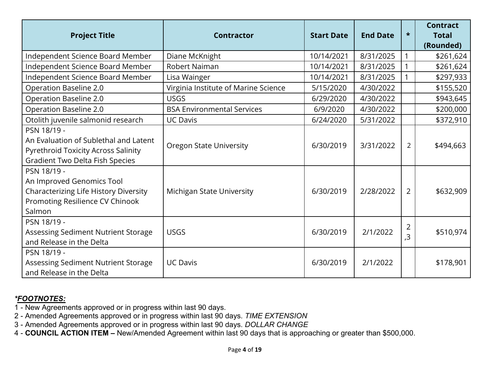| <b>Project Title</b>                                                                                                                         | <b>Contractor</b>                    | <b>Start Date</b> | <b>End Date</b> | $\star$        | <b>Contract</b><br><b>Total</b><br>(Rounded) |
|----------------------------------------------------------------------------------------------------------------------------------------------|--------------------------------------|-------------------|-----------------|----------------|----------------------------------------------|
| Independent Science Board Member                                                                                                             | Diane McKnight                       | 10/14/2021        | 8/31/2025       | 1              | \$261,624                                    |
| Independent Science Board Member                                                                                                             | <b>Robert Naiman</b>                 | 10/14/2021        | 8/31/2025       |                | \$261,624                                    |
| Independent Science Board Member                                                                                                             | Lisa Wainger                         | 10/14/2021        | 8/31/2025       |                | \$297,933                                    |
| Operation Baseline 2.0                                                                                                                       | Virginia Institute of Marine Science | 5/15/2020         | 4/30/2022       |                | \$155,520                                    |
| Operation Baseline 2.0                                                                                                                       | <b>USGS</b>                          | 6/29/2020         | 4/30/2022       |                | \$943,645                                    |
| Operation Baseline 2.0                                                                                                                       | <b>BSA Environmental Services</b>    | 6/9/2020          | 4/30/2022       |                | \$200,000                                    |
| Otolith juvenile salmonid research                                                                                                           | <b>UC Davis</b>                      | 6/24/2020         | 5/31/2022       |                | \$372,910                                    |
| PSN 18/19 -<br>An Evaluation of Sublethal and Latent<br><b>Pyrethroid Toxicity Across Salinity</b><br><b>Gradient Two Delta Fish Species</b> | <b>Oregon State University</b>       | 6/30/2019         | 3/31/2022       | $\overline{2}$ | \$494,663                                    |
| PSN 18/19 -<br>An Improved Genomics Tool<br>Characterizing Life History Diversity<br>Promoting Resilience CV Chinook<br>Salmon               | Michigan State University            | 6/30/2019         | 2/28/2022       | $\overline{2}$ | \$632,909                                    |
| PSN 18/19 -<br>Assessing Sediment Nutrient Storage<br>and Release in the Delta                                                               | <b>USGS</b>                          | 6/30/2019         | 2/1/2022        | 2<br>3,        | \$510,974                                    |
| PSN 18/19 -<br>Assessing Sediment Nutrient Storage<br>and Release in the Delta                                                               | <b>UC Davis</b>                      | 6/30/2019         | 2/1/2022        |                | \$178,901                                    |

- 1 New Agreements approved or in progress within last 90 days.
- 2 Amended Agreements approved or in progress within last 90 days. *TIME EXTENSION*
- 3 Amended Agreements approved or in progress within last 90 days. *DOLLAR CHANGE*
- 4 **COUNCIL ACTION ITEM** New/Amended Agreement within last 90 days that is approaching or greater than \$500,000.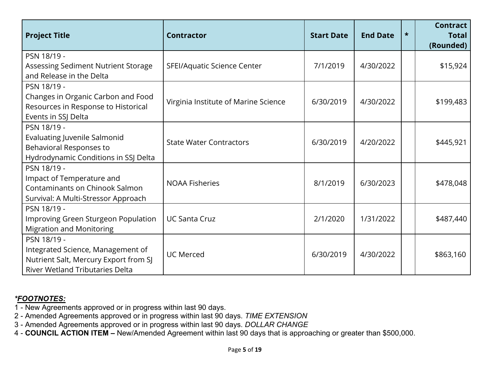| <b>Project Title</b>                                                                                                                | <b>Contractor</b>                    | <b>Start Date</b> | <b>End Date</b> | $\star$ | <b>Contract</b><br><b>Total</b><br>(Rounded) |
|-------------------------------------------------------------------------------------------------------------------------------------|--------------------------------------|-------------------|-----------------|---------|----------------------------------------------|
| PSN 18/19 -<br>Assessing Sediment Nutrient Storage<br>and Release in the Delta                                                      | SFEI/Aquatic Science Center          | 7/1/2019          | 4/30/2022       |         | \$15,924                                     |
| PSN 18/19 -<br>Changes in Organic Carbon and Food<br>Resources in Response to Historical<br>Events in SSJ Delta                     | Virginia Institute of Marine Science | 6/30/2019         | 4/30/2022       |         | \$199,483                                    |
| PSN 18/19 -<br><b>Evaluating Juvenile Salmonid</b><br>Behavioral Responses to<br>Hydrodynamic Conditions in SSJ Delta               | <b>State Water Contractors</b>       | 6/30/2019         | 4/20/2022       |         | \$445,921                                    |
| PSN 18/19 -<br>Impact of Temperature and<br>Contaminants on Chinook Salmon<br>Survival: A Multi-Stressor Approach                   | <b>NOAA Fisheries</b>                | 8/1/2019          | 6/30/2023       |         | \$478,048                                    |
| PSN 18/19 -<br>Improving Green Sturgeon Population<br><b>Migration and Monitoring</b>                                               | <b>UC Santa Cruz</b>                 | 2/1/2020          | 1/31/2022       |         | \$487,440                                    |
| PSN 18/19 -<br>Integrated Science, Management of<br>Nutrient Salt, Mercury Export from SJ<br><b>River Wetland Tributaries Delta</b> | <b>UC Merced</b>                     | 6/30/2019         | 4/30/2022       |         | \$863,160                                    |

- 1 New Agreements approved or in progress within last 90 days.
- 2 Amended Agreements approved or in progress within last 90 days. *TIME EXTENSION*
- 3 Amended Agreements approved or in progress within last 90 days. *DOLLAR CHANGE*
- 4 **COUNCIL ACTION ITEM** New/Amended Agreement within last 90 days that is approaching or greater than \$500,000.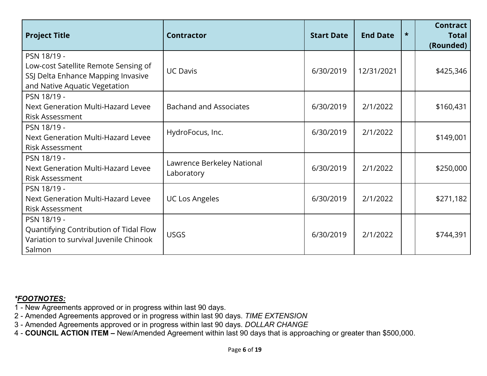| <b>Project Title</b>                                                                                                       | <b>Contractor</b>                        | <b>Start Date</b> | <b>End Date</b> | $\star$ | <b>Contract</b><br><b>Total</b><br>(Rounded) |
|----------------------------------------------------------------------------------------------------------------------------|------------------------------------------|-------------------|-----------------|---------|----------------------------------------------|
| PSN 18/19 -<br>Low-cost Satellite Remote Sensing of<br>SSJ Delta Enhance Mapping Invasive<br>and Native Aquatic Vegetation | <b>UC Davis</b>                          | 6/30/2019         | 12/31/2021      |         | \$425,346                                    |
| PSN 18/19 -<br>Next Generation Multi-Hazard Levee<br><b>Risk Assessment</b>                                                | <b>Bachand and Associates</b>            | 6/30/2019         | 2/1/2022        |         | \$160,431                                    |
| PSN 18/19 -<br>Next Generation Multi-Hazard Levee<br><b>Risk Assessment</b>                                                | HydroFocus, Inc.                         | 6/30/2019         | 2/1/2022        |         | \$149,001                                    |
| PSN 18/19 -<br>Next Generation Multi-Hazard Levee<br><b>Risk Assessment</b>                                                | Lawrence Berkeley National<br>Laboratory | 6/30/2019         | 2/1/2022        |         | \$250,000                                    |
| PSN 18/19 -<br>Next Generation Multi-Hazard Levee<br><b>Risk Assessment</b>                                                | <b>UC Los Angeles</b>                    | 6/30/2019         | 2/1/2022        |         | \$271,182                                    |
| PSN 18/19 -<br>Quantifying Contribution of Tidal Flow<br>Variation to survival Juvenile Chinook<br>Salmon                  | <b>USGS</b>                              | 6/30/2019         | 2/1/2022        |         | \$744,391                                    |

- 1 New Agreements approved or in progress within last 90 days.
- 2 Amended Agreements approved or in progress within last 90 days. *TIME EXTENSION*
- 3 Amended Agreements approved or in progress within last 90 days. *DOLLAR CHANGE*
- 4 **COUNCIL ACTION ITEM** New/Amended Agreement within last 90 days that is approaching or greater than \$500,000.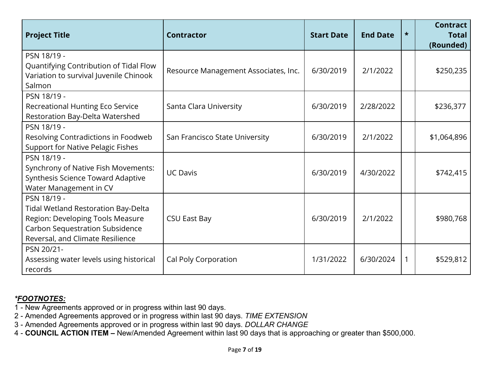| <b>Project Title</b>                                                                                                                                                 | <b>Contractor</b>                    | <b>Start Date</b> | <b>End Date</b> | $\star$ | <b>Contract</b><br><b>Total</b><br>(Rounded) |
|----------------------------------------------------------------------------------------------------------------------------------------------------------------------|--------------------------------------|-------------------|-----------------|---------|----------------------------------------------|
| PSN 18/19 -<br>Quantifying Contribution of Tidal Flow<br>Variation to survival Juvenile Chinook<br>Salmon                                                            | Resource Management Associates, Inc. | 6/30/2019         | 2/1/2022        |         | \$250,235                                    |
| PSN 18/19 -<br>Recreational Hunting Eco Service<br>Restoration Bay-Delta Watershed                                                                                   | Santa Clara University               | 6/30/2019         | 2/28/2022       |         | \$236,377                                    |
| PSN 18/19 -<br>Resolving Contradictions in Foodweb<br><b>Support for Native Pelagic Fishes</b>                                                                       | San Francisco State University       | 6/30/2019         | 2/1/2022        |         | \$1,064,896                                  |
| PSN 18/19 -<br>Synchrony of Native Fish Movements:<br>Synthesis Science Toward Adaptive<br>Water Management in CV                                                    | <b>UC Davis</b>                      | 6/30/2019         | 4/30/2022       |         | \$742,415                                    |
| PSN 18/19 -<br><b>Tidal Wetland Restoration Bay-Delta</b><br>Region: Developing Tools Measure<br>Carbon Sequestration Subsidence<br>Reversal, and Climate Resilience | <b>CSU East Bay</b>                  | 6/30/2019         | 2/1/2022        |         | \$980,768                                    |
| PSN 20/21-<br>Assessing water levels using historical<br>records                                                                                                     | Cal Poly Corporation                 | 1/31/2022         | 6/30/2024       | 1       | \$529,812                                    |

- 1 New Agreements approved or in progress within last 90 days.
- 2 Amended Agreements approved or in progress within last 90 days. *TIME EXTENSION*
- 3 Amended Agreements approved or in progress within last 90 days. *DOLLAR CHANGE*
- 4 **COUNCIL ACTION ITEM** New/Amended Agreement within last 90 days that is approaching or greater than \$500,000.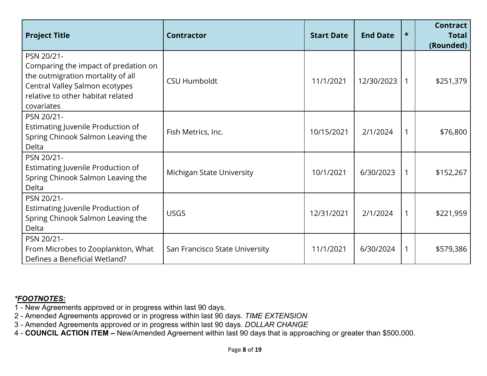| <b>Project Title</b>                                                                                                                                                         | <b>Contractor</b>              | <b>Start Date</b> | <b>End Date</b> | $\star$ | <b>Contract</b><br><b>Total</b><br>(Rounded) |
|------------------------------------------------------------------------------------------------------------------------------------------------------------------------------|--------------------------------|-------------------|-----------------|---------|----------------------------------------------|
| PSN 20/21-<br>Comparing the impact of predation on<br>the outmigration mortality of all<br>Central Valley Salmon ecotypes<br>relative to other habitat related<br>covariates | <b>CSU Humboldt</b>            | 11/1/2021         | 12/30/2023      | 1       | \$251,379                                    |
| PSN 20/21-<br>Estimating Juvenile Production of<br>Spring Chinook Salmon Leaving the<br>Delta                                                                                | Fish Metrics, Inc.             | 10/15/2021        | 2/1/2024        | 1       | \$76,800                                     |
| PSN 20/21-<br>Estimating Juvenile Production of<br>Spring Chinook Salmon Leaving the<br>Delta                                                                                | Michigan State University      | 10/1/2021         | 6/30/2023       | 1       | \$152,267                                    |
| PSN 20/21-<br>Estimating Juvenile Production of<br>Spring Chinook Salmon Leaving the<br>Delta                                                                                | <b>USGS</b>                    | 12/31/2021        | 2/1/2024        | 1       | \$221,959                                    |
| PSN 20/21-<br>From Microbes to Zooplankton, What<br>Defines a Beneficial Wetland?                                                                                            | San Francisco State University | 11/1/2021         | 6/30/2024       | 1       | \$579,386                                    |

- 1 New Agreements approved or in progress within last 90 days.
- 2 Amended Agreements approved or in progress within last 90 days. *TIME EXTENSION*
- 3 Amended Agreements approved or in progress within last 90 days. *DOLLAR CHANGE*
- 4 **COUNCIL ACTION ITEM** New/Amended Agreement within last 90 days that is approaching or greater than \$500,000.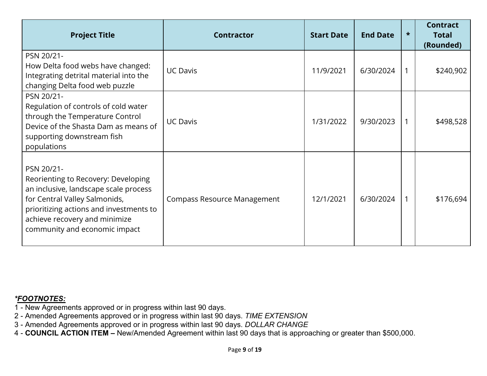| <b>Project Title</b>                                                                                                                                                                                                                     | <b>Contractor</b>                  | <b>Start Date</b> | <b>End Date</b> | $\star$ | <b>Contract</b><br><b>Total</b><br>(Rounded) |
|------------------------------------------------------------------------------------------------------------------------------------------------------------------------------------------------------------------------------------------|------------------------------------|-------------------|-----------------|---------|----------------------------------------------|
| PSN 20/21-<br>How Delta food webs have changed:<br>Integrating detrital material into the<br>changing Delta food web puzzle                                                                                                              | <b>UC Davis</b>                    | 11/9/2021         | 6/30/2024       |         | \$240,902                                    |
| PSN 20/21-<br>Regulation of controls of cold water<br>through the Temperature Control<br>Device of the Shasta Dam as means of<br>supporting downstream fish<br>populations                                                               | <b>UC Davis</b>                    | 1/31/2022         | 9/30/2023       |         | \$498,528                                    |
| PSN 20/21-<br>Reorienting to Recovery: Developing<br>an inclusive, landscape scale process<br>for Central Valley Salmonids,<br>prioritizing actions and investments to<br>achieve recovery and minimize<br>community and economic impact | <b>Compass Resource Management</b> | 12/1/2021         | 6/30/2024       |         | \$176,694                                    |

- 1 New Agreements approved or in progress within last 90 days.
- 2 Amended Agreements approved or in progress within last 90 days. *TIME EXTENSION*
- 3 Amended Agreements approved or in progress within last 90 days. *DOLLAR CHANGE*
- 4 **COUNCIL ACTION ITEM** New/Amended Agreement within last 90 days that is approaching or greater than \$500,000.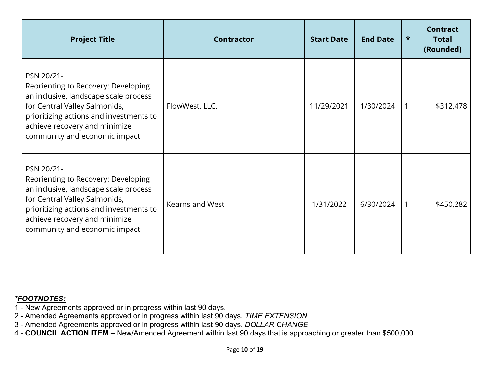| <b>Project Title</b>                                                                                                                                                                                                                     | <b>Contractor</b>      | <b>Start Date</b> | <b>End Date</b> | $\star$ | <b>Contract</b><br><b>Total</b><br>(Rounded) |
|------------------------------------------------------------------------------------------------------------------------------------------------------------------------------------------------------------------------------------------|------------------------|-------------------|-----------------|---------|----------------------------------------------|
| PSN 20/21-<br>Reorienting to Recovery: Developing<br>an inclusive, landscape scale process<br>for Central Valley Salmonids,<br>prioritizing actions and investments to<br>achieve recovery and minimize<br>community and economic impact | FlowWest, LLC.         | 11/29/2021        | 1/30/2024       |         | \$312,478                                    |
| PSN 20/21-<br>Reorienting to Recovery: Developing<br>an inclusive, landscape scale process<br>for Central Valley Salmonids,<br>prioritizing actions and investments to<br>achieve recovery and minimize<br>community and economic impact | <b>Kearns and West</b> | 1/31/2022         | 6/30/2024       | 1       | \$450,282                                    |

- 1 New Agreements approved or in progress within last 90 days.
- 2 Amended Agreements approved or in progress within last 90 days. *TIME EXTENSION*
- 3 Amended Agreements approved or in progress within last 90 days. *DOLLAR CHANGE*
- 4 **COUNCIL ACTION ITEM** New/Amended Agreement within last 90 days that is approaching or greater than \$500,000.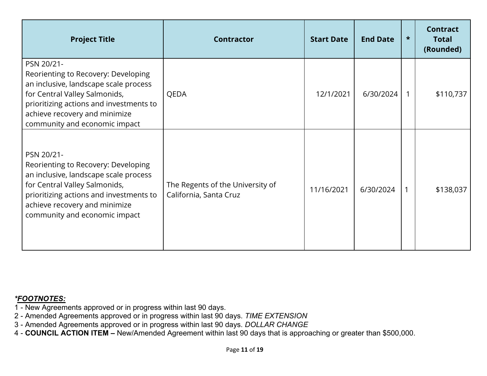| <b>Project Title</b>                                                                                                                                                                                                                     | <b>Contractor</b>                                          | <b>Start Date</b> | <b>End Date</b> | $\star$ | <b>Contract</b><br><b>Total</b><br>(Rounded) |
|------------------------------------------------------------------------------------------------------------------------------------------------------------------------------------------------------------------------------------------|------------------------------------------------------------|-------------------|-----------------|---------|----------------------------------------------|
| PSN 20/21-<br>Reorienting to Recovery: Developing<br>an inclusive, landscape scale process<br>for Central Valley Salmonids,<br>prioritizing actions and investments to<br>achieve recovery and minimize<br>community and economic impact | QEDA                                                       | 12/1/2021         | 6/30/2024       |         | \$110,737                                    |
| PSN 20/21-<br>Reorienting to Recovery: Developing<br>an inclusive, landscape scale process<br>for Central Valley Salmonids,<br>prioritizing actions and investments to<br>achieve recovery and minimize<br>community and economic impact | The Regents of the University of<br>California, Santa Cruz | 11/16/2021        | 6/30/2024       |         | \$138,037                                    |

- 1 New Agreements approved or in progress within last 90 days.
- 2 Amended Agreements approved or in progress within last 90 days. *TIME EXTENSION*
- 3 Amended Agreements approved or in progress within last 90 days. *DOLLAR CHANGE*
- 4 **COUNCIL ACTION ITEM** New/Amended Agreement within last 90 days that is approaching or greater than \$500,000.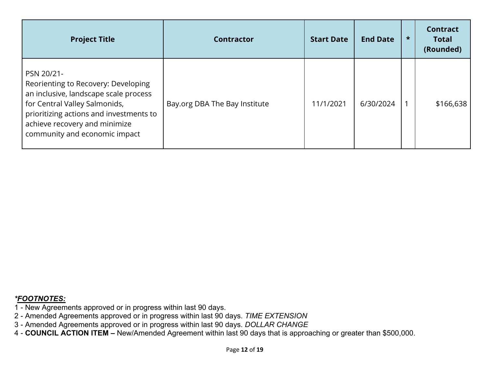| <b>Project Title</b>                                                                                                                                                                                                                     | <b>Contractor</b>             | <b>Start Date</b> | <b>End Date</b> | $\star$ | <b>Contract</b><br><b>Total</b><br>(Rounded) |
|------------------------------------------------------------------------------------------------------------------------------------------------------------------------------------------------------------------------------------------|-------------------------------|-------------------|-----------------|---------|----------------------------------------------|
| PSN 20/21-<br>Reorienting to Recovery: Developing<br>an inclusive, landscape scale process<br>for Central Valley Salmonids,<br>prioritizing actions and investments to<br>achieve recovery and minimize<br>community and economic impact | Bay.org DBA The Bay Institute | 11/1/2021         | 6/30/2024       |         | \$166,638                                    |

- 1 New Agreements approved or in progress within last 90 days.
- 2 Amended Agreements approved or in progress within last 90 days. *TIME EXTENSION*
- 3 Amended Agreements approved or in progress within last 90 days. *DOLLAR CHANGE*
- 4 **COUNCIL ACTION ITEM** New/Amended Agreement within last 90 days that is approaching or greater than \$500,000.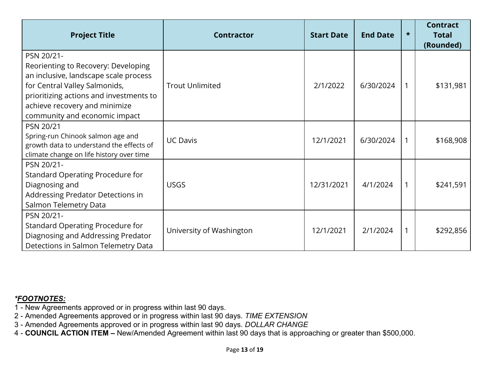| <b>Project Title</b>                                                                                                                                                                                                                     | <b>Contractor</b>        | <b>Start Date</b> | <b>End Date</b> | $\star$ | <b>Contract</b><br><b>Total</b><br>(Rounded) |
|------------------------------------------------------------------------------------------------------------------------------------------------------------------------------------------------------------------------------------------|--------------------------|-------------------|-----------------|---------|----------------------------------------------|
| PSN 20/21-<br>Reorienting to Recovery: Developing<br>an inclusive, landscape scale process<br>for Central Valley Salmonids,<br>prioritizing actions and investments to<br>achieve recovery and minimize<br>community and economic impact | <b>Trout Unlimited</b>   | 2/1/2022          | 6/30/2024       |         | \$131,981                                    |
| PSN 20/21<br>Spring-run Chinook salmon age and<br>growth data to understand the effects of<br>climate change on life history over time                                                                                                   | <b>UC Davis</b>          | 12/1/2021         | 6/30/2024       | 1       | \$168,908                                    |
| PSN 20/21-<br><b>Standard Operating Procedure for</b><br>Diagnosing and<br>Addressing Predator Detections in<br>Salmon Telemetry Data                                                                                                    | <b>USGS</b>              | 12/31/2021        | 4/1/2024        | 1       | \$241,591                                    |
| PSN 20/21-<br><b>Standard Operating Procedure for</b><br>Diagnosing and Addressing Predator<br>Detections in Salmon Telemetry Data                                                                                                       | University of Washington | 12/1/2021         | 2/1/2024        | 1       | \$292,856                                    |

- 1 New Agreements approved or in progress within last 90 days.
- 2 Amended Agreements approved or in progress within last 90 days. *TIME EXTENSION*
- 3 Amended Agreements approved or in progress within last 90 days. *DOLLAR CHANGE*
- 4 **COUNCIL ACTION ITEM** New/Amended Agreement within last 90 days that is approaching or greater than \$500,000.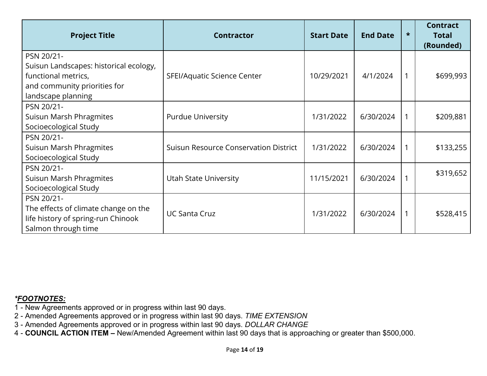| <b>Project Title</b>                                                                                                              | <b>Contractor</b>                            | <b>Start Date</b> | <b>End Date</b> | $\star$ | <b>Contract</b><br><b>Total</b><br>(Rounded) |
|-----------------------------------------------------------------------------------------------------------------------------------|----------------------------------------------|-------------------|-----------------|---------|----------------------------------------------|
| PSN 20/21-<br>Suisun Landscapes: historical ecology,<br>functional metrics,<br>and community priorities for<br>landscape planning | SFEI/Aquatic Science Center                  | 10/29/2021        | 4/1/2024        |         | \$699,993                                    |
| PSN 20/21-<br>Suisun Marsh Phragmites<br>Socioecological Study                                                                    | <b>Purdue University</b>                     | 1/31/2022         | 6/30/2024       |         | \$209,881                                    |
| PSN 20/21-<br>Suisun Marsh Phragmites<br>Socioecological Study                                                                    | <b>Suisun Resource Conservation District</b> | 1/31/2022         | 6/30/2024       |         | \$133,255                                    |
| PSN 20/21-<br>Suisun Marsh Phragmites<br>Socioecological Study                                                                    | Utah State University                        | 11/15/2021        | 6/30/2024       |         | \$319,652                                    |
| PSN 20/21-<br>The effects of climate change on the<br>life history of spring-run Chinook<br>Salmon through time                   | <b>UC Santa Cruz</b>                         | 1/31/2022         | 6/30/2024       |         | \$528,415                                    |

- 1 New Agreements approved or in progress within last 90 days.
- 2 Amended Agreements approved or in progress within last 90 days. *TIME EXTENSION*
- 3 Amended Agreements approved or in progress within last 90 days. *DOLLAR CHANGE*
- 4 **COUNCIL ACTION ITEM** New/Amended Agreement within last 90 days that is approaching or greater than \$500,000.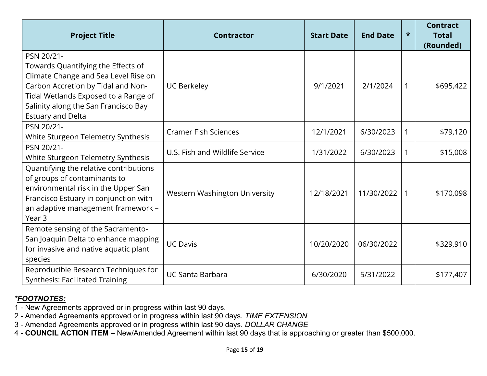| <b>Project Title</b>                                                                                                                                                                                                                       | <b>Contractor</b>                    | <b>Start Date</b> | <b>End Date</b> | $\star$ | <b>Contract</b><br><b>Total</b><br>(Rounded) |
|--------------------------------------------------------------------------------------------------------------------------------------------------------------------------------------------------------------------------------------------|--------------------------------------|-------------------|-----------------|---------|----------------------------------------------|
| PSN 20/21-<br>Towards Quantifying the Effects of<br>Climate Change and Sea Level Rise on<br>Carbon Accretion by Tidal and Non-<br>Tidal Wetlands Exposed to a Range of<br>Salinity along the San Francisco Bay<br><b>Estuary and Delta</b> | <b>UC Berkeley</b>                   | 9/1/2021          | 2/1/2024        | 1       | \$695,422                                    |
| PSN 20/21-<br>White Sturgeon Telemetry Synthesis                                                                                                                                                                                           | <b>Cramer Fish Sciences</b>          | 12/1/2021         | 6/30/2023       | 1       | \$79,120                                     |
| PSN 20/21-<br>White Sturgeon Telemetry Synthesis                                                                                                                                                                                           | U.S. Fish and Wildlife Service       | 1/31/2022         | 6/30/2023       | 1       | \$15,008                                     |
| Quantifying the relative contributions<br>of groups of contaminants to<br>environmental risk in the Upper San<br>Francisco Estuary in conjunction with<br>an adaptive management framework -<br>Year <sub>3</sub>                          | <b>Western Washington University</b> | 12/18/2021        | 11/30/2022      | 1       | \$170,098                                    |
| Remote sensing of the Sacramento-<br>San Joaquin Delta to enhance mapping<br>for invasive and native aquatic plant<br>species                                                                                                              | <b>UC Davis</b>                      | 10/20/2020        | 06/30/2022      |         | \$329,910                                    |
| Reproducible Research Techniques for<br><b>Synthesis: Facilitated Training</b>                                                                                                                                                             | <b>UC Santa Barbara</b>              | 6/30/2020         | 5/31/2022       |         | \$177,407                                    |

1 - New Agreements approved or in progress within last 90 days.

2 - Amended Agreements approved or in progress within last 90 days. *TIME EXTENSION* 

3 - Amended Agreements approved or in progress within last 90 days. *DOLLAR CHANGE* 

4 - **COUNCIL ACTION ITEM –** New/Amended Agreement within last 90 days that is approaching or greater than \$500,000.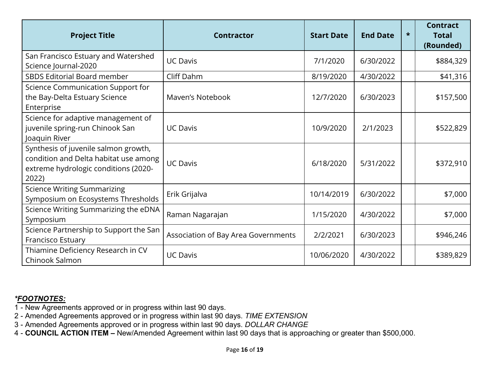| <b>Project Title</b>                                                                                                           | <b>Contractor</b>                   | <b>Start Date</b> | <b>End Date</b> | $\star$ | <b>Contract</b><br><b>Total</b><br>(Rounded) |
|--------------------------------------------------------------------------------------------------------------------------------|-------------------------------------|-------------------|-----------------|---------|----------------------------------------------|
| San Francisco Estuary and Watershed<br>Science Journal-2020                                                                    | <b>UC Davis</b>                     | 7/1/2020          | 6/30/2022       |         | \$884,329                                    |
| <b>SBDS Editorial Board member</b>                                                                                             | Cliff Dahm                          | 8/19/2020         | 4/30/2022       |         | \$41,316                                     |
| Science Communication Support for<br>the Bay-Delta Estuary Science<br>Enterprise                                               | Maven's Notebook                    | 12/7/2020         | 6/30/2023       |         | \$157,500                                    |
| Science for adaptive management of<br>juvenile spring-run Chinook San<br>Joaquin River                                         | <b>UC Davis</b>                     | 10/9/2020         | 2/1/2023        |         | \$522,829                                    |
| Synthesis of juvenile salmon growth,<br>condition and Delta habitat use among<br>extreme hydrologic conditions (2020-<br>2022) | <b>UC Davis</b>                     | 6/18/2020         | 5/31/2022       |         | \$372,910                                    |
| <b>Science Writing Summarizing</b><br>Symposium on Ecosystems Thresholds                                                       | Erik Grijalva                       | 10/14/2019        | 6/30/2022       |         | \$7,000                                      |
| Science Writing Summarizing the eDNA<br>Symposium                                                                              | Raman Nagarajan                     | 1/15/2020         | 4/30/2022       |         | \$7,000                                      |
| Science Partnership to Support the San<br>Francisco Estuary                                                                    | Association of Bay Area Governments | 2/2/2021          | 6/30/2023       |         | \$946,246                                    |
| Thiamine Deficiency Research in CV<br>Chinook Salmon                                                                           | <b>UC Davis</b>                     | 10/06/2020        | 4/30/2022       |         | \$389,829                                    |

- 1 New Agreements approved or in progress within last 90 days.
- 2 Amended Agreements approved or in progress within last 90 days. *TIME EXTENSION*
- 3 Amended Agreements approved or in progress within last 90 days. *DOLLAR CHANGE*
- 4 **COUNCIL ACTION ITEM** New/Amended Agreement within last 90 days that is approaching or greater than \$500,000.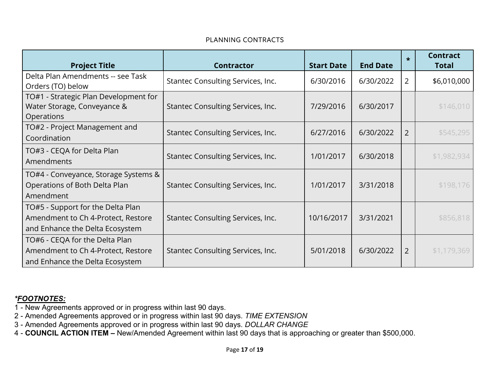#### PLANNING CONTRACTS

| <b>Project Title</b>                                                                                       | <b>Contractor</b>                 | <b>Start Date</b> | <b>End Date</b> | $\star$ | <b>Contract</b><br><b>Total</b> |
|------------------------------------------------------------------------------------------------------------|-----------------------------------|-------------------|-----------------|---------|---------------------------------|
| Delta Plan Amendments -- see Task<br>Orders (TO) below                                                     | Stantec Consulting Services, Inc. | 6/30/2016         | 6/30/2022       | 2       | \$6,010,000                     |
| TO#1 - Strategic Plan Development for<br>Water Storage, Conveyance &<br>Operations                         | Stantec Consulting Services, Inc. | 7/29/2016         | 6/30/2017       |         | \$146,010                       |
| TO#2 - Project Management and<br>Coordination                                                              | Stantec Consulting Services, Inc. | 6/27/2016         | 6/30/2022       | 2       | \$545,295                       |
| TO#3 - CEQA for Delta Plan<br>Amendments                                                                   | Stantec Consulting Services, Inc. | 1/01/2017         | 6/30/2018       |         | \$1,982,934                     |
| TO#4 - Conveyance, Storage Systems &<br>Operations of Both Delta Plan<br>Amendment                         | Stantec Consulting Services, Inc. | 1/01/2017         | 3/31/2018       |         | \$198,176                       |
| TO#5 - Support for the Delta Plan<br>Amendment to Ch 4-Protect, Restore<br>and Enhance the Delta Ecosystem | Stantec Consulting Services, Inc. | 10/16/2017        | 3/31/2021       |         | \$856,818                       |
| TO#6 - CEQA for the Delta Plan<br>Amendment to Ch 4-Protect, Restore<br>and Enhance the Delta Ecosystem    | Stantec Consulting Services, Inc. | 5/01/2018         | 6/30/2022       | 2       | \$1,179,369                     |

- 1 New Agreements approved or in progress within last 90 days.
- 2 Amended Agreements approved or in progress within last 90 days. *TIME EXTENSION*
- 3 Amended Agreements approved or in progress within last 90 days. *DOLLAR CHANGE*
- 4 **COUNCIL ACTION ITEM** New/Amended Agreement within last 90 days that is approaching or greater than \$500,000.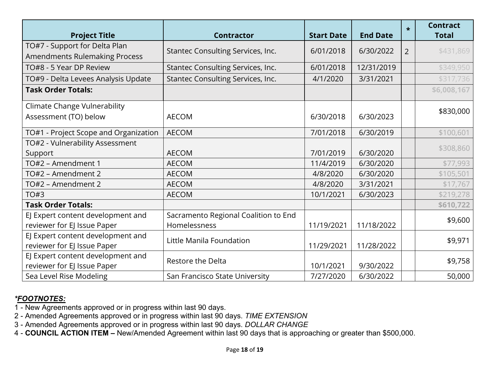| <b>Project Title</b>                                                  | <b>Contractor</b>                                    | <b>Start Date</b> | <b>End Date</b> | $\star$        | <b>Contract</b><br><b>Total</b> |
|-----------------------------------------------------------------------|------------------------------------------------------|-------------------|-----------------|----------------|---------------------------------|
| TO#7 - Support for Delta Plan<br><b>Amendments Rulemaking Process</b> | Stantec Consulting Services, Inc.                    | 6/01/2018         | 6/30/2022       | $\overline{2}$ | \$431,869                       |
| TO#8 - 5 Year DP Review                                               | Stantec Consulting Services, Inc.                    | 6/01/2018         | 12/31/2019      |                | \$349,950                       |
| TO#9 - Delta Levees Analysis Update                                   | Stantec Consulting Services, Inc.                    | 4/1/2020          | 3/31/2021       |                | \$317,736                       |
| <b>Task Order Totals:</b>                                             |                                                      |                   |                 |                | \$6,008,167                     |
| <b>Climate Change Vulnerability</b><br>Assessment (TO) below          | <b>AECOM</b>                                         | 6/30/2018         | 6/30/2023       |                | \$830,000                       |
| TO#1 - Project Scope and Organization                                 | <b>AECOM</b>                                         | 7/01/2018         | 6/30/2019       |                | \$100,601                       |
| TO#2 - Vulnerability Assessment<br>Support                            | <b>AECOM</b>                                         | 7/01/2019         | 6/30/2020       |                | \$308,860                       |
| TO#2 - Amendment 1                                                    | <b>AECOM</b>                                         | 11/4/2019         | 6/30/2020       |                | \$77,993                        |
| TO#2 - Amendment 2                                                    | <b>AECOM</b>                                         | 4/8/2020          | 6/30/2020       |                | \$105,501                       |
| TO#2 - Amendment 2                                                    | <b>AECOM</b>                                         | 4/8/2020          | 3/31/2021       |                | \$17,767                        |
| TO#3                                                                  | <b>AECOM</b>                                         | 10/1/2021         | 6/30/2023       |                | \$219,278                       |
| <b>Task Order Totals:</b>                                             |                                                      |                   |                 |                | \$610,722                       |
| EJ Expert content development and<br>reviewer for EJ Issue Paper      | Sacramento Regional Coalition to End<br>Homelessness | 11/19/2021        | 11/18/2022      |                | \$9,600                         |
| EJ Expert content development and<br>reviewer for EJ Issue Paper      | Little Manila Foundation                             | 11/29/2021        | 11/28/2022      |                | \$9,971                         |
| EJ Expert content development and<br>reviewer for EJ Issue Paper      | Restore the Delta                                    | 10/1/2021         | 9/30/2022       |                | \$9,758                         |
| Sea Level Rise Modeling                                               | San Francisco State University                       | 7/27/2020         | 6/30/2022       |                | 50,000                          |

- 1 New Agreements approved or in progress within last 90 days.
- 2 Amended Agreements approved or in progress within last 90 days. *TIME EXTENSION*
- 3 Amended Agreements approved or in progress within last 90 days. *DOLLAR CHANGE*
- 4 **COUNCIL ACTION ITEM** New/Amended Agreement within last 90 days that is approaching or greater than \$500,000.